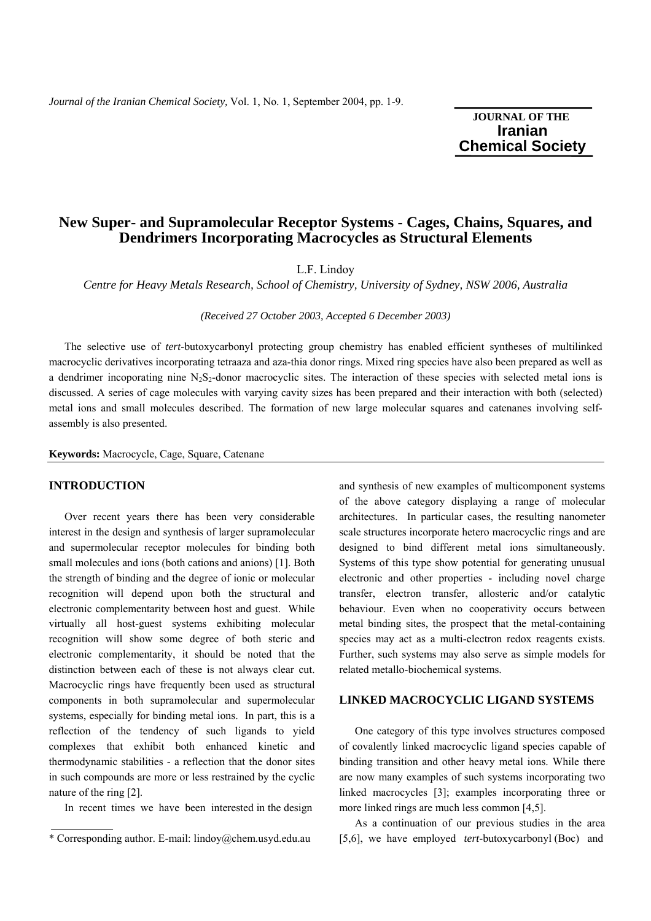# **JOURNAL OF THE Iranian**  **Chemical Society**

# **New Super- and Supramolecular Receptor Systems - Cages, Chains, Squares, and Dendrimers Incorporating Macrocycles as Structural Elements**

L.F. Lindoy

*Centre for Heavy Metals Research, School of Chemistry, University of Sydney, NSW 2006, Australia* 

*(Received 27 October 2003, Accepted 6 December 2003)* 

 The selective use of *tert*-butoxycarbonyl protecting group chemistry has enabled efficient syntheses of multilinked macrocyclic derivatives incorporating tetraaza and aza-thia donor rings. Mixed ring species have also been prepared as well as a dendrimer incoporating nine  $N_2S_2$ -donor macrocyclic sites. The interaction of these species with selected metal ions is discussed. A series of cage molecules with varying cavity sizes has been prepared and their interaction with both (selected) metal ions and small molecules described. The formation of new large molecular squares and catenanes involving selfassembly is also presented.

**Keywords:** Macrocycle, Cage, Square, Catenane

## **INTRODUCTION**

 Over recent years there has been very considerable interest in the design and synthesis of larger supramolecular and supermolecular receptor molecules for binding both small molecules and ions (both cations and anions) [1]. Both the strength of binding and the degree of ionic or molecular recognition will depend upon both the structural and electronic complementarity between host and guest. While virtually all host-guest systems exhibiting molecular recognition will show some degree of both steric and electronic complementarity, it should be noted that the distinction between each of these is not always clear cut. Macrocyclic rings have frequently been used as structural components in both supramolecular and supermolecular systems, especially for binding metal ions. In part, this is a reflection of the tendency of such ligands to yield complexes that exhibit both enhanced kinetic and thermodynamic stabilities - a reflection that the donor sites in such compounds are more or less restrained by the cyclic nature of the ring [2].

In recent times we have been interested in the design

and synthesis of new examples of multicomponent systems of the above category displaying a range of molecular architectures. In particular cases, the resulting nanometer scale structures incorporate hetero macrocyclic rings and are designed to bind different metal ions simultaneously. Systems of this type show potential for generating unusual electronic and other properties - including novel charge transfer, electron transfer, allosteric and/or catalytic behaviour. Even when no cooperativity occurs between metal binding sites, the prospect that the metal-containing species may act as a multi-electron redox reagents exists. Further, such systems may also serve as simple models for related metallo-biochemical systems.

#### **LINKED MACROCYCLIC LIGAND SYSTEMS**

 One category of this type involves structures composed of covalently linked macrocyclic ligand species capable of binding transition and other heavy metal ions. While there are now many examples of such systems incorporating two linked macrocycles [3]; examples incorporating three or more linked rings are much less common [4,5].

 As a continuation of our previous studies in the area [5,6], we have employed *tert*-butoxycarbonyl (Boc) and

<sup>\*</sup> Corresponding author. E-mail: lindoy@chem.usyd.edu.au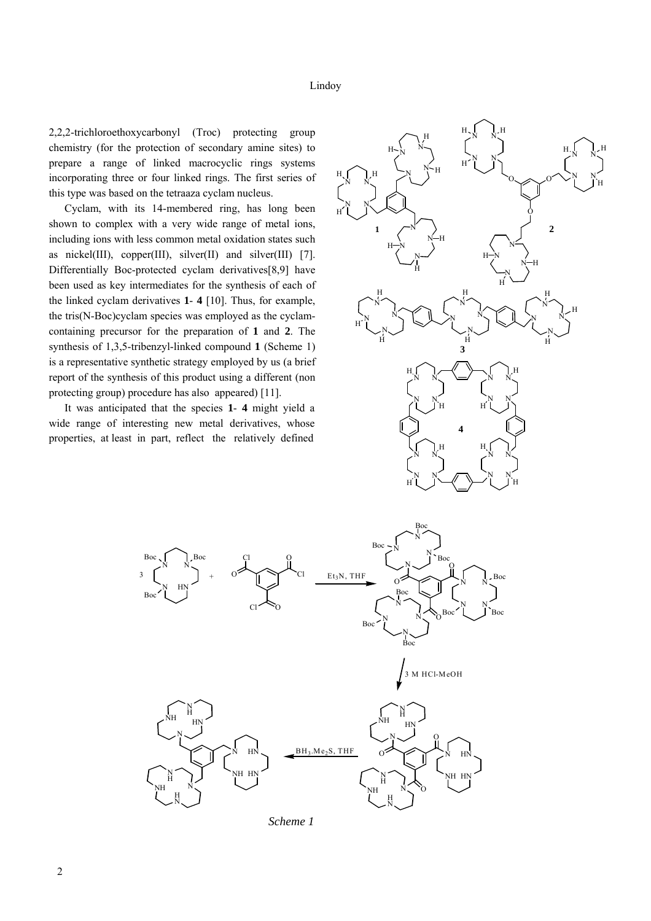2,2,2-trichloroethoxycarbonyl (Troc) protecting group chemistry (for the protection of secondary amine sites) to prepare a range of linked macrocyclic rings systems incorporating three or four linked rings. The first series of this type was based on the tetraaza cyclam nucleus.

 Cyclam, with its 14-membered ring, has long been shown to complex with a very wide range of metal ions, including ions with less common metal oxidation states such as nickel(III), copper(III), silver(II) and silver(III)  $[7]$ . Differentially Boc-protected cyclam derivatives[8,9] have been used as key intermediates for the synthesis of each of the linked cyclam derivatives **1**- **4** [10]. Thus, for example, the tris(N-Boc)cyclam species was employed as the cyclamcontaining precursor for the preparation of **1** and **2**. The synthesis of 1,3,5-tribenzyl-linked compound **1** (Scheme 1) is a representative synthetic strategy employed by us (a brief report of the synthesis of this product using a different (non protecting group) procedure has also appeared) [11].

 It was anticipated that the species **1**- **4** might yield a wide range of interesting new metal derivatives, whose properties, at least in part, reflect the relatively defined





 *Scheme 1*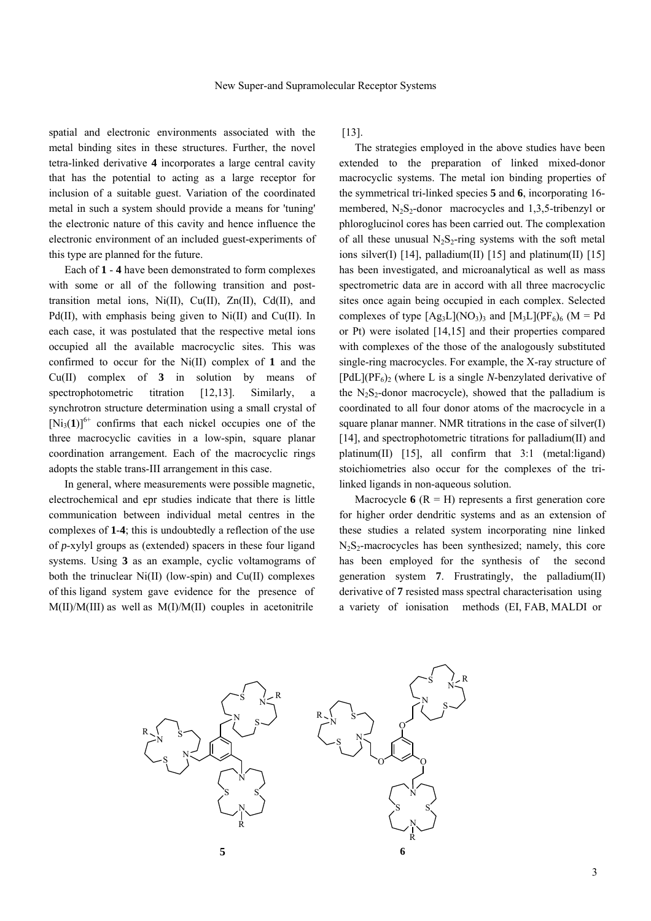spatial and electronic environments associated with the metal binding sites in these structures. Further, the novel tetra-linked derivative **4** incorporates a large central cavity that has the potential to acting as a large receptor for inclusion of a suitable guest. Variation of the coordinated metal in such a system should provide a means for 'tuning' the electronic nature of this cavity and hence influence the electronic environment of an included guest-experiments of this type are planned for the future.

 Each of **1** - **4** have been demonstrated to form complexes with some or all of the following transition and posttransition metal ions,  $Ni(II)$ ,  $Cu(II)$ ,  $Zn(II)$ ,  $Cd(II)$ , and Pd(II), with emphasis being given to Ni(II) and Cu(II). In each case, it was postulated that the respective metal ions occupied all the available macrocyclic sites. This was confirmed to occur for the Ni(II) complex of **1** and the Cu(II) complex of **3** in solution by means of spectrophotometric titration [12,13]. Similarly, a synchrotron structure determination using a small crystal of  $[Ni_3(1)]^{6+}$  confirms that each nickel occupies one of the three macrocyclic cavities in a low-spin, square planar coordination arrangement. Each of the macrocyclic rings adopts the stable trans-III arrangement in this case.

 In general, where measurements were possible magnetic, electrochemical and epr studies indicate that there is little communication between individual metal centres in the complexes of **1**-**4**; this is undoubtedly a reflection of the use of *p*-xylyl groups as (extended) spacers in these four ligand systems. Using **3** as an example, cyclic voltamograms of both the trinuclear Ni(II) (low-spin) and Cu(II) complexes of this ligand system gave evidence for the presence of M(II)/M(III) as well as M(I)/M(II) couples in acetonitrile

[13].

 The strategies employed in the above studies have been extended to the preparation of linked mixed-donor macrocyclic systems. The metal ion binding properties of the symmetrical tri-linked species **5** and **6**, incorporating 16 membered,  $N_2S_2$ -donor macrocycles and 1,3,5-tribenzyl or phloroglucinol cores has been carried out. The complexation of all these unusual  $N_2S_2$ -ring systems with the soft metal ions silver(I) [14], palladium(II) [15] and platinum(II) [15] has been investigated, and microanalytical as well as mass spectrometric data are in accord with all three macrocyclic sites once again being occupied in each complex. Selected complexes of type  $[Ag_3L](NO_3)$ <sub>3</sub> and  $[M_3L](PF_6)$ <sub>6</sub> (M = Pd or Pt) were isolated [14,15] and their properties compared with complexes of the those of the analogously substituted single-ring macrocycles. For example, the X-ray structure of  $[PdL](PF_6)$  (where L is a single *N*-benzylated derivative of the  $N_2S_2$ -donor macrocycle), showed that the palladium is coordinated to all four donor atoms of the macrocycle in a square planar manner. NMR titrations in the case of silver(I) [14], and spectrophotometric titrations for palladium(II) and platinum(II) [15], all confirm that 3:1 (metal:ligand) stoichiometries also occur for the complexes of the trilinked ligands in non-aqueous solution.

Macrocycle  $6 (R = H)$  represents a first generation core for higher order dendritic systems and as an extension of these studies a related system incorporating nine linked  $N<sub>2</sub>S<sub>2</sub>$ -macrocycles has been synthesized; namely, this core has been employed for the synthesis of the second generation system **7**. Frustratingly, the palladium(II) derivative of **7** resisted mass spectral characterisation using a variety of ionisation methods (EI, FAB, MALDI or

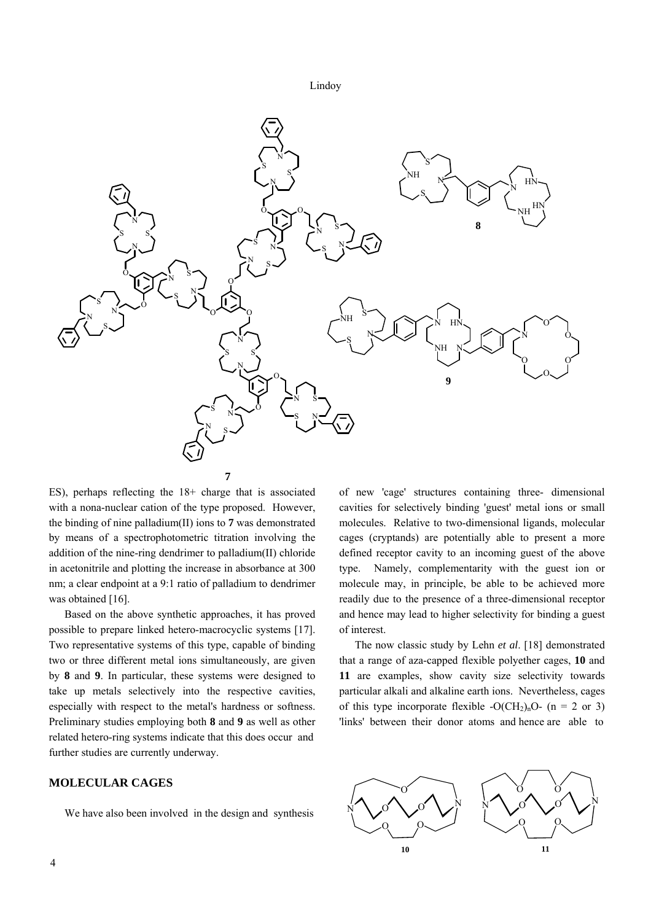



ES), perhaps reflecting the 18+ charge that is associated with a nona-nuclear cation of the type proposed. However, the binding of nine palladium(II) ions to **7** was demonstrated by means of a spectrophotometric titration involving the addition of the nine-ring dendrimer to palladium(II) chloride in acetonitrile and plotting the increase in absorbance at 300 nm; a clear endpoint at a 9:1 ratio of palladium to dendrimer was obtained [16].

 Based on the above synthetic approaches, it has proved possible to prepare linked hetero-macrocyclic systems [17]. Two representative systems of this type, capable of binding two or three different metal ions simultaneously, are given by **8** and **9**. In particular, these systems were designed to take up metals selectively into the respective cavities, especially with respect to the metal's hardness or softness. Preliminary studies employing both **8** and **9** as well as other related hetero-ring systems indicate that this does occur and further studies are currently underway.

## **MOLECULAR CAGES**

We have also been involved in the design and synthesis

of new 'cage' structures containing three- dimensional cavities for selectively binding 'guest' metal ions or small molecules. Relative to two-dimensional ligands, molecular cages (cryptands) are potentially able to present a more defined receptor cavity to an incoming guest of the above type. Namely, complementarity with the guest ion or molecule may, in principle, be able to be achieved more readily due to the presence of a three-dimensional receptor and hence may lead to higher selectivity for binding a guest of interest.

 The now classic study by Lehn *et al*. [18] demonstrated that a range of aza-capped flexible polyether cages, **10** and **11** are examples, show cavity size selectivity towards particular alkali and alkaline earth ions. Nevertheless, cages of this type incorporate flexible  $-O(CH_2)_nO$ - (n = 2 or 3) 'links' between their donor atoms and hence are able to

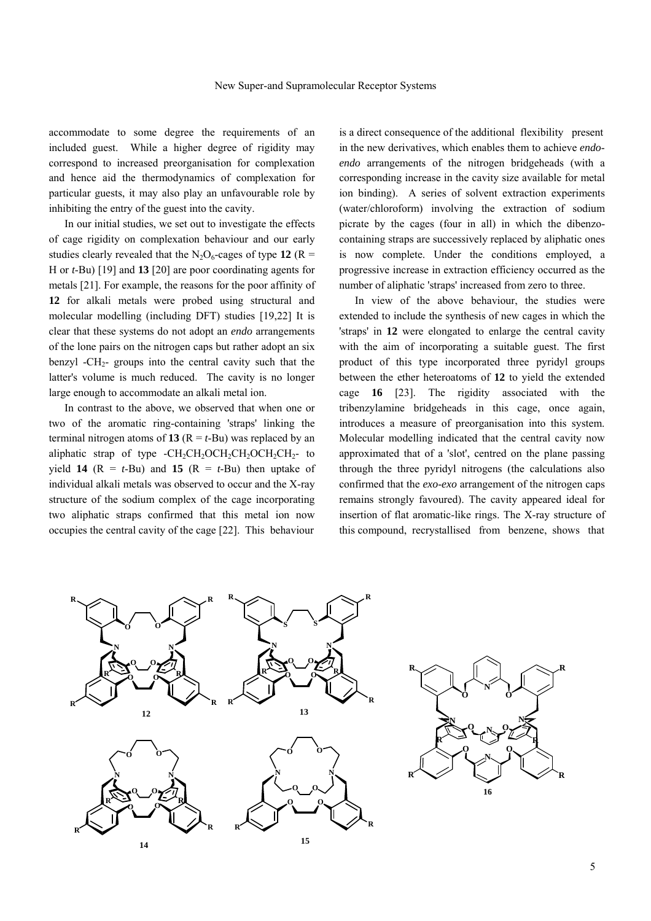accommodate to some degree the requirements of an included guest. While a higher degree of rigidity may correspond to increased preorganisation for complexation and hence aid the thermodynamics of complexation for particular guests, it may also play an unfavourable role by inhibiting the entry of the guest into the cavity.

 In our initial studies, we set out to investigate the effects of cage rigidity on complexation behaviour and our early studies clearly revealed that the  $N_2O_6$ -cages of type 12 (R = H or *t*-Bu) [19] and **13** [20] are poor coordinating agents for metals [21]. For example, the reasons for the poor affinity of **12** for alkali metals were probed using structural and molecular modelling (including DFT) studies [19,22] It is clear that these systems do not adopt an *endo* arrangements of the lone pairs on the nitrogen caps but rather adopt an six benzyl  $-CH_2$ - groups into the central cavity such that the latter's volume is much reduced. The cavity is no longer large enough to accommodate an alkali metal ion.

 In contrast to the above, we observed that when one or two of the aromatic ring-containing 'straps' linking the terminal nitrogen atoms of **13** ( $R = t$ -Bu) was replaced by an aliphatic strap of type  $-CH_2CH_2OCH_2CH_2OCH_2CH_2-$  to yield **14** ( $R = t$ -Bu) and **15** ( $R = t$ -Bu) then uptake of individual alkali metals was observed to occur and the X-ray structure of the sodium complex of the cage incorporating two aliphatic straps confirmed that this metal ion now occupies the central cavity of the cage [22]. This behaviour

is a direct consequence of the additional flexibility present in the new derivatives, which enables them to achieve *endoendo* arrangements of the nitrogen bridgeheads (with a corresponding increase in the cavity size available for metal ion binding). A series of solvent extraction experiments (water/chloroform) involving the extraction of sodium picrate by the cages (four in all) in which the dibenzocontaining straps are successively replaced by aliphatic ones is now complete. Under the conditions employed, a progressive increase in extraction efficiency occurred as the number of aliphatic 'straps' increased from zero to three.

 In view of the above behaviour, the studies were extended to include the synthesis of new cages in which the 'straps' in **12** were elongated to enlarge the central cavity with the aim of incorporating a suitable guest. The first product of this type incorporated three pyridyl groups between the ether heteroatoms of **12** to yield the extended cage **16** [23]. The rigidity associated with the tribenzylamine bridgeheads in this cage, once again, introduces a measure of preorganisation into this system. Molecular modelling indicated that the central cavity now approximated that of a 'slot', centred on the plane passing through the three pyridyl nitrogens (the calculations also confirmed that the *exo*-*exo* arrangement of the nitrogen caps remains strongly favoured). The cavity appeared ideal for insertion of flat aromatic-like rings. The X-ray structure of this compound, recrystallised from benzene, shows that



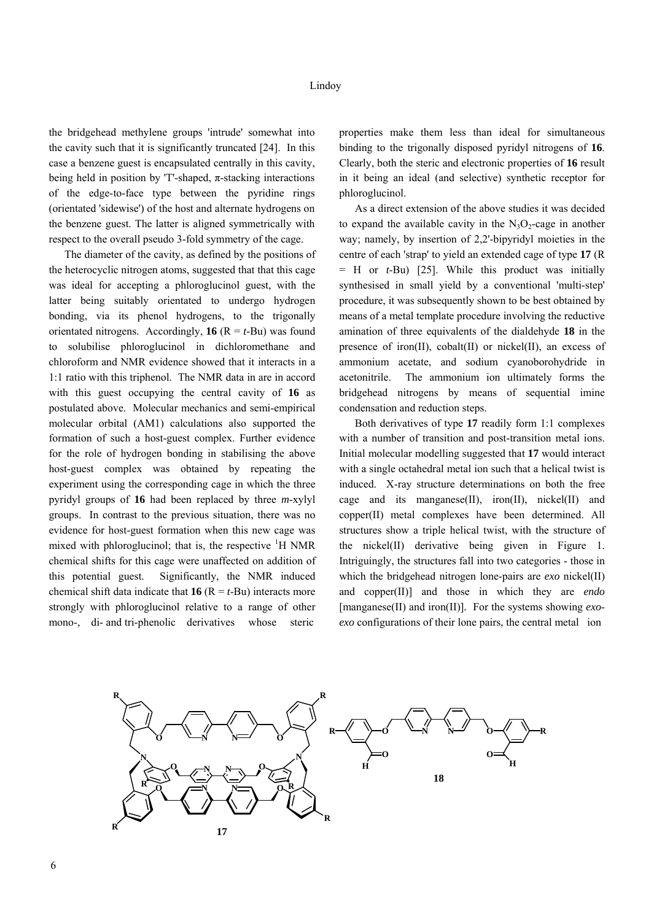the bridgehead methylene groups 'intrude' somewhat into the cavity such that it is significantly truncated [24]. In this case a benzene guest is encapsulated centrally in this cavity, being held in position by 'T'-shaped,  $\pi$ -stacking interactions of the edge-to-face type between the pyridine rings (orientated 'sidewise') of the host and alternate hydrogens on the benzene guest. The latter is aligned symmetrically with respect to the overall pseudo 3-fold symmetry of the cage.

 The diameter of the cavity, as defined by the positions of the heterocyclic nitrogen atoms, suggested that that this cage was ideal for accepting a phloroglucinol guest, with the latter being suitably orientated to undergo hydrogen bonding, via its phenol hydrogens, to the trigonally orientated nitrogens. Accordingly,  $16 (R = t$ -Bu) was found to solubilise phloroglucinol in dichloromethane and chloroform and NMR evidence showed that it interacts in a 1:1 ratio with this triphenol. The NMR data in are in accord with this guest occupying the central cavity of **16** as postulated above. Molecular mechanics and semi-empirical molecular orbital (AM1) calculations also supported the formation of such a host-guest complex. Further evidence for the role of hydrogen bonding in stabilising the above host-guest complex was obtained by repeating the experiment using the corresponding cage in which the three pyridyl groups of **16** had been replaced by three *m*-xylyl groups. In contrast to the previous situation, there was no evidence for host-guest formation when this new cage was mixed with phloroglucinol; that is, the respective <sup>1</sup>H NMR chemical shifts for this cage were unaffected on addition of this potential guest. Significantly, the NMR induced chemical shift data indicate that **16** ( $R = t$ -Bu) interacts more strongly with phloroglucinol relative to a range of other mono-, di- and tri-phenolic derivatives whose steric

properties make them less than ideal for simultaneous binding to the trigonally disposed pyridyl nitrogens of **16**. Clearly, both the steric and electronic properties of **16** result in it being an ideal (and selective) synthetic receptor for phloroglucinol.

 As a direct extension of the above studies it was decided to expand the available cavity in the  $N_3O_2$ -cage in another way; namely, by insertion of 2,2'-bipyridyl moieties in the centre of each 'strap' to yield an extended cage of type **17** (R = H or *t*-Bu) [25]. While this product was initially synthesised in small yield by a conventional 'multi-step' procedure, it was subsequently shown to be best obtained by means of a metal template procedure involving the reductive amination of three equivalents of the dialdehyde **18** in the presence of iron(II), cobalt(II) or nickel(II), an excess of ammonium acetate, and sodium cyanoborohydride in acetonitrile. The ammonium ion ultimately forms the bridgehead nitrogens by means of sequential imine condensation and reduction steps.

 Both derivatives of type **17** readily form 1:1 complexes with a number of transition and post-transition metal ions. Initial molecular modelling suggested that **17** would interact with a single octahedral metal ion such that a helical twist is induced. X-ray structure determinations on both the free cage and its manganese $(II)$ , iron $(II)$ , nickel $(II)$  and copper(II) metal complexes have been determined. All structures show a triple helical twist, with the structure of the nickel(II) derivative being given in Figure 1. Intriguingly, the structures fall into two categories - those in which the bridgehead nitrogen lone-pairs are *exo* nickel(II) and copper(II)] and those in which they are *endo*  [manganese(II) and iron(II)]*.* For the systems showing *exoexo* configurations of their lone pairs, the central metal ion

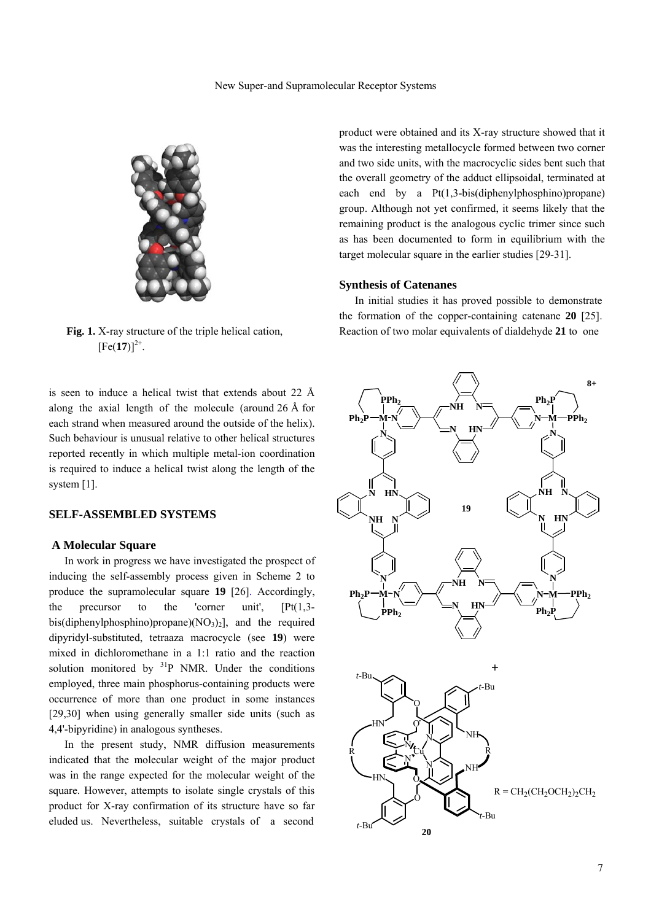

**Fig. 1.** X-ray structure of the triple helical cation.  $[Fe(17)]^{2+}$ .

is seen to induce a helical twist that extends about 22 Å along the axial length of the molecule (around 26 Å for each strand when measured around the outside of the helix). Such behaviour is unusual relative to other helical structures reported recently in which multiple metal-ion coordination is required to induce a helical twist along the length of the system [1].

#### **SELF-ASSEMBLED SYSTEMS**

#### **A Molecular Square**

In work in progress we have investigated the prospect of inducing the self-assembly process given in Scheme 2 to produce the supramolecular square **19** [26]. Accordingly, the precursor to the 'corner unit', [Pt(1,3 bis(diphenylphosphino)propane)( $NO<sub>3</sub>$ )<sub>2</sub>], and the required dipyridyl-substituted, tetraaza macrocycle (see **19**) were mixed in dichloromethane in a 1:1 ratio and the reaction solution monitored by  $3^{1}P$  NMR. Under the conditions employed, three main phosphorus-containing products were occurrence of more than one product in some instances [29,30] when using generally smaller side units (such as 4,4'-bipyridine) in analogous syntheses.

 In the present study, NMR diffusion measurements indicated that the molecular weight of the major product was in the range expected for the molecular weight of the square. However, attempts to isolate single crystals of this product for X-ray confirmation of its structure have so far eluded us. Nevertheless, suitable crystals of a second

product were obtained and its X-ray structure showed that it was the interesting metallocycle formed between two corner and two side units, with the macrocyclic sides bent such that the overall geometry of the adduct ellipsoidal, terminated at each end by a Pt(1,3-bis(diphenylphosphino)propane) group. Although not yet confirmed, it seems likely that the remaining product is the analogous cyclic trimer since such as has been documented to form in equilibrium with the target molecular square in the earlier studies [29-31].

#### **Synthesis of Catenanes**

 In initial studies it has proved possible to demonstrate the formation of the copper-containing catenane **20** [25]. Reaction of two molar equivalents of dialdehyde **21** to one

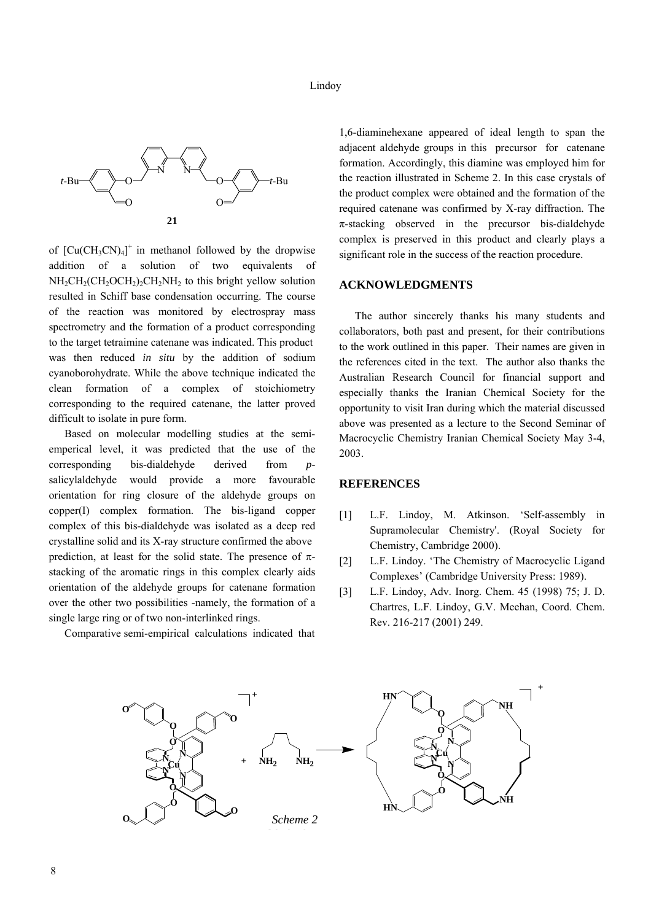

of  $[Cu(CH_3CN)_4]^+$  in methanol followed by the dropwise addition of a solution of two equivalents of  $NH<sub>2</sub>CH<sub>2</sub>(CH<sub>2</sub>OCH<sub>2</sub>)<sub>2</sub>CH<sub>2</sub>NH<sub>2</sub>$  to this bright yellow solution resulted in Schiff base condensation occurring. The course of the reaction was monitored by electrospray mass spectrometry and the formation of a product corresponding to the target tetraimine catenane was indicated. This product was then reduced *in situ* by the addition of sodium cyanoborohydrate. While the above technique indicated the clean formation of a complex of stoichiometry corresponding to the required catenane, the latter proved difficult to isolate in pure form.

 Based on molecular modelling studies at the semiemperical level, it was predicted that the use of the corresponding bis-dialdehyde derived from *p*salicylaldehyde would provide a more favourable orientation for ring closure of the aldehyde groups on copper(I) complex formation. The bis-ligand copper complex of this bis-dialdehyde was isolated as a deep red crystalline solid and its X-ray structure confirmed the above prediction, at least for the solid state. The presence of  $\pi$ stacking of the aromatic rings in this complex clearly aids orientation of the aldehyde groups for catenane formation over the other two possibilities -namely, the formation of a single large ring or of two non-interlinked rings.

Comparative semi-empirical calculations indicated that

1,6-diaminehexane appeared of ideal length to span the adjacent aldehyde groups in this precursor for catenane formation. Accordingly, this diamine was employed him for the reaction illustrated in Scheme 2. In this case crystals of the product complex were obtained and the formation of the required catenane was confirmed by X-ray diffraction. The  $\pi$ -stacking observed in the precursor bis-dialdehyde complex is preserved in this product and clearly plays a significant role in the success of the reaction procedure.

#### **ACKNOWLEDGMENTS**

 The author sincerely thanks his many students and collaborators, both past and present, for their contributions to the work outlined in this paper. Their names are given in the references cited in the text. The author also thanks the Australian Research Council for financial support and especially thanks the Iranian Chemical Society for the opportunity to visit Iran during which the material discussed above was presented as a lecture to the Second Seminar of Macrocyclic Chemistry Iranian Chemical Society May 3-4, 2003.

#### **REFERENCES**

- [1] L.F. Lindoy, M. Atkinson. 'Self-assembly in Supramolecular Chemistry'. (Royal Society for Chemistry, Cambridge 2000).
- [2] L.F. Lindoy. 'The Chemistry of Macrocyclic Ligand Complexes' (Cambridge University Press: 1989).
- [3] L.F. Lindoy, Adv. Inorg. Chem. 45 (1998) 75; J. D. Chartres, L.F. Lindoy, G.V. Meehan, Coord. Chem. Rev. 216-217 (2001) 249.